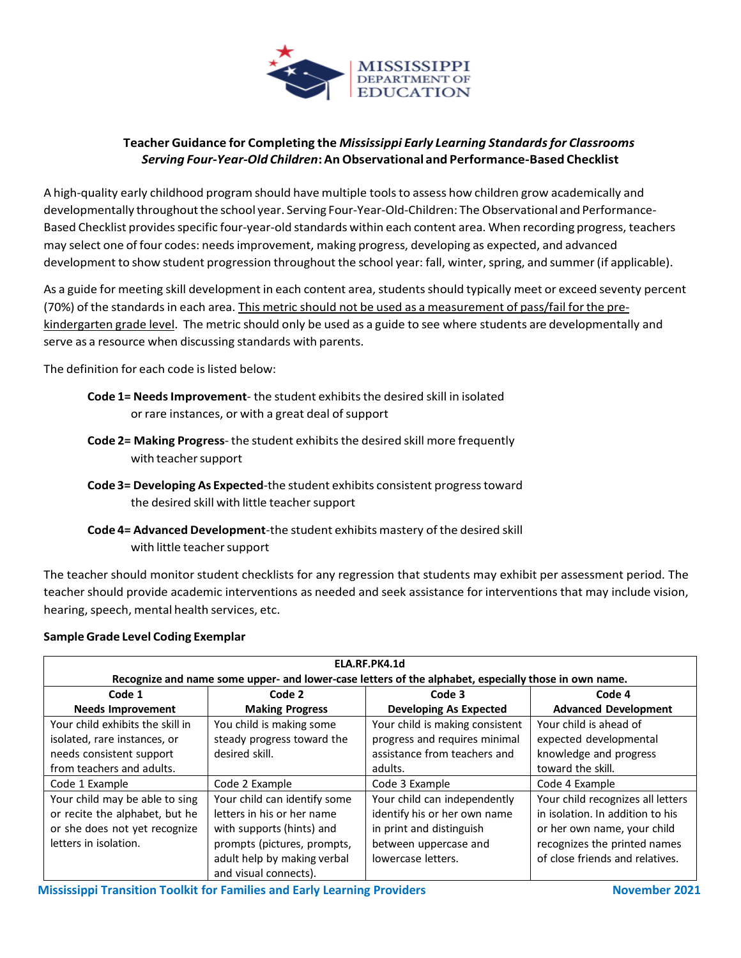

# **Teacher Guidance for Completing the** *Mississippi Early Learning Standardsfor Classrooms Serving Four-Year-Old Children***:AnObservational and Performance-Based Checklist**

A high-quality early childhood program should have multiple toolsto assess how children grow academically and developmentally throughout the school year. Serving Four-Year-Old-Children: The Observational and Performance-Based Checklist provides specific four-year-old standards within each content area. When recording progress, teachers may select one of four codes: needsimprovement, making progress, developing as expected, and advanced development to show student progression throughout the school year: fall, winter, spring, and summer (if applicable).

As a guide for meeting skill development in each content area, students should typically meet or exceed seventy percent (70%) of the standardsin each area. This metric should not be used as a measurement of pass/fail forthe prekindergarten grade level. The metric should only be used as a guide to see where students are developmentally and serve as a resource when discussing standards with parents.

The definition for each code is listed below:

- **Code 1= Needs Improvement** the student exhibits the desired skill in isolated or rare instances, or with a great deal of support
- **Code 2= Making Progress** the student exhibitsthe desired skill more frequently with teacher support
- **Code 3= Developing As Expected**-the student exhibits consistent progresstoward the desired skill with little teacher support
- **Code 4= Advanced Development**-the student exhibits mastery of the desired skill with little teacher support

The teacher should monitor student checklists for any regression that students may exhibit per assessment period. The teacher should provide academic interventions as needed and seek assistance for interventions that may include vision, hearing, speech, mental health services, etc.

| ELA.RF.PK4.1d                                                                                        |                              |                                 |                                   |
|------------------------------------------------------------------------------------------------------|------------------------------|---------------------------------|-----------------------------------|
| Recognize and name some upper- and lower-case letters of the alphabet, especially those in own name. |                              |                                 |                                   |
| Code 1                                                                                               | Code 2                       | Code 3                          | Code 4                            |
| <b>Needs Improvement</b>                                                                             | <b>Making Progress</b>       | <b>Developing As Expected</b>   | <b>Advanced Development</b>       |
| Your child exhibits the skill in                                                                     | You child is making some     | Your child is making consistent | Your child is ahead of            |
| isolated, rare instances, or                                                                         | steady progress toward the   | progress and requires minimal   | expected developmental            |
| needs consistent support                                                                             | desired skill.               | assistance from teachers and    | knowledge and progress            |
| from teachers and adults.                                                                            |                              | adults.                         | toward the skill.                 |
| Code 1 Example                                                                                       | Code 2 Example               | Code 3 Example                  | Code 4 Example                    |
| Your child may be able to sing                                                                       | Your child can identify some | Your child can independently    | Your child recognizes all letters |
| or recite the alphabet, but he                                                                       | letters in his or her name   | identify his or her own name    | in isolation. In addition to his  |
| or she does not yet recognize                                                                        | with supports (hints) and    | in print and distinguish        | or her own name, your child       |
| letters in isolation.                                                                                | prompts (pictures, prompts,  | between uppercase and           | recognizes the printed names      |
|                                                                                                      | adult help by making verbal  | lowercase letters.              | of close friends and relatives.   |
|                                                                                                      | and visual connects).        |                                 |                                   |

# **SampleGrade Level Coding Exemplar**